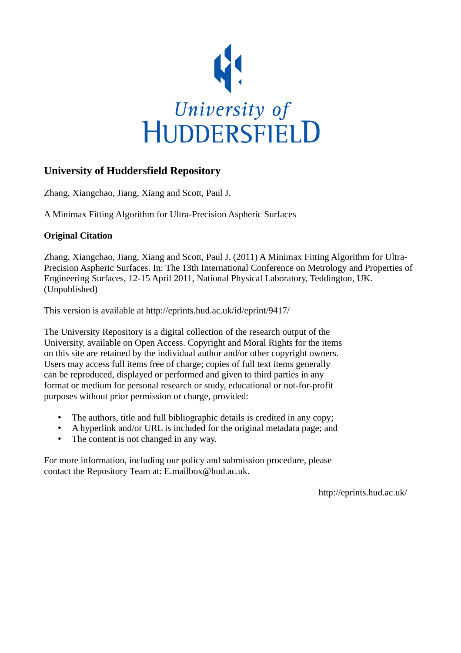

# **University of Huddersfield Repository**

Zhang, Xiangchao, Jiang, Xiang and Scott, Paul J.

A Minimax Fitting Algorithm for Ultra-Precision Aspheric Surfaces

## **Original Citation**

Zhang, Xiangchao, Jiang, Xiang and Scott, Paul J. (2011) A Minimax Fitting Algorithm for Ultra-Precision Aspheric Surfaces. In: The 13th International Conference on Metrology and Properties of Engineering Surfaces, 12-15 April 2011, National Physical Laboratory, Teddington, UK. (Unpublished)

This version is available at http://eprints.hud.ac.uk/id/eprint/9417/

The University Repository is a digital collection of the research output of the University, available on Open Access. Copyright and Moral Rights for the items on this site are retained by the individual author and/or other copyright owners. Users may access full items free of charge; copies of full text items generally can be reproduced, displayed or performed and given to third parties in any format or medium for personal research or study, educational or not-for-profit purposes without prior permission or charge, provided:

- The authors, title and full bibliographic details is credited in any copy;
- A hyperlink and/or URL is included for the original metadata page; and
- The content is not changed in any way.

For more information, including our policy and submission procedure, please contact the Repository Team at: E.mailbox@hud.ac.uk.

http://eprints.hud.ac.uk/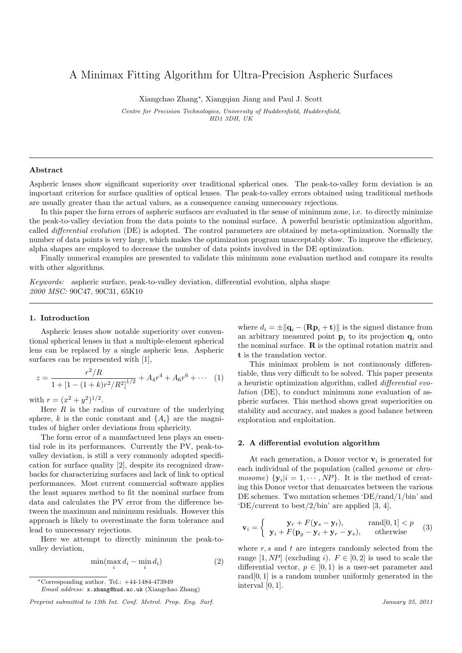## A Minimax Fitting Algorithm for Ultra-Precision Aspheric Surfaces

Xiangchao Zhang*<sup>∗</sup>* , Xiangqian Jiang and Paul J. Scott

*Centre for Precision Technologies, University of Huddersfield, Huddersfield, HD1 3DH, UK*

#### **Abstract**

Aspheric lenses show significant superiority over traditional spherical ones. The peak-to-valley form deviation is an important criterion for surface qualities of optical lenses. The peak-to-valley errors obtained using traditional methods are usually greater than the actual values, as a consequence causing unnecessary rejections.

In this paper the form errors of aspheric surfaces are evaluated in the sense of minimum zone, i.e. to directly minimize the peak-to-valley deviation from the data points to the nominal surface. A powerful heuristic optimization algorithm, called *differential evolution* (DE) is adopted. The control parameters are obtained by meta-optimization. Normally the number of data points is very large, which makes the optimization program unacceptably slow. To improve the efficiency, alpha shapes are employed to decrease the number of data points involved in the DE optimization.

Finally numerical examples are presented to validate this minimum zone evaluation method and compare its results with other algorithms.

*Keywords:* aspheric surface, peak-to-valley deviation, differential evolution, alpha shape *2000 MSC:* 90C47, 90C31, 65K10

### **1. Introduction**

Aspheric lenses show notable superiority over conventional spherical lenses in that a multiple-element spherical lens can be replaced by a single aspheric lens. Aspheric surfaces can be represented with [1],

$$
z = \frac{r^2/R}{1 + [1 - (1 + k)r^2/R^2]^{1/2}} + A_4r^4 + A_6r^6 + \cdots
$$
 (1)

with  $r = (x^2 + y^2)^{1/2}$ .

Here *R* is the radius of curvature of the underlying sphere, *k* is the conic constant and  ${A_i}$  are the magnitudes of higher order deviations from sphericity.

The form error of a manufactured lens plays an essential role in its performances. Currently the PV, peak-tovalley deviation, is still a very commonly adopted specification for surface quality [2], despite its recognized drawbacks for characterizing surfaces and lack of link to optical performances. Most current commercial software applies the least squares method to fit the nominal surface from data and calculates the PV error from the difference between the maximum and minimum residuals. However this approach is likely to overestimate the form tolerance and lead to unnecessary rejections.

Here we attempt to directly minimum the peak-tovalley deviation,

$$
\min(\max_i d_i - \min_i d_i) \tag{2}
$$

where  $d_i = \pm ||\mathbf{q}_i - (\mathbf{R}\mathbf{p}_i + \mathbf{t})||$  is the signed distance from an arbitrary measured point  $\mathbf{p}_i$  to its projection  $\mathbf{q}_i$  onto the nominal surface. **R** is the optimal rotation matrix and **t** is the translation vector.

This minimax problem is not continuously differentiable, thus very difficult to be solved. This paper presents a heuristic optimization algorithm, called *differential evolution* (DE), to conduct minimum zone evaluation of aspheric surfaces. This method shows great superiorities on stability and accuracy, and makes a good balance between exploration and exploitation.

#### **2. A differential evolution algorithm**

At each generation, a Donor vector  $\mathbf{v}_i$  is generated for each individual of the population (called *genome* or *chromosome*)  $\{y_i | i = 1, \dots, NP\}$ . It is the method of creating this Donor vector that demarcates between the various DE schemes. Two mutation schemes 'DE/rand/1/bin' and 'DE/current to best/2/bin' are applied [3, 4],

$$
\mathbf{v}_{i} = \begin{cases} \mathbf{y}_{r} + F(\mathbf{y}_{s} - \mathbf{y}_{t}), & \text{rand}[0,1] < p \\ \mathbf{y}_{i} + F(\mathbf{p}_{g} - \mathbf{y}_{i} + \mathbf{y}_{r} - \mathbf{y}_{s}), & \text{otherwise} \end{cases}
$$
 (3)

where *r, s* and *t* are integers randomly selected from the range  $[1, NP]$  (excluding *i*).  $F \in [0, 2]$  is used to scale the differential vector,  $p \in [0, 1)$  is a user-set parameter and rand[0*,* 1] is a random number uniformly generated in the interval [0*,* 1].

*<sup>∗</sup>*Corresponding author. Tel.: +44-1484-473949

*Email address:* x.zhang@hud.ac.uk (Xiangchao Zhang)

*Preprint submitted to 13th Int. Conf. Metrol. Prop. Eng. Surf. January 25, 2011*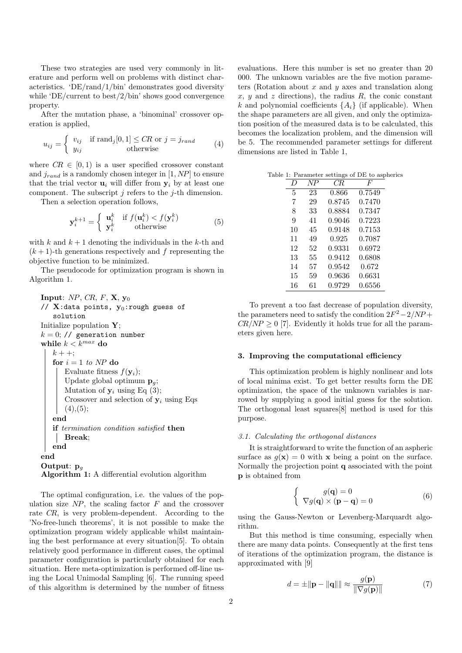These two strategies are used very commonly in literature and perform well on problems with distinct characteristics. 'DE/rand/1/bin' demonstrates good diversity while 'DE/current to best/2/bin' shows good convergence property.

After the mutation phase, a 'binominal' crossover operation is applied,

$$
u_{ij} = \begin{cases} v_{ij} & \text{if } \text{rand}_j[0,1] \le CR \text{ or } j = j_{rand} \\ y_{ij} & \text{otherwise} \end{cases}
$$
(4)

where  $CR \in [0, 1)$  is a user specified crossover constant and  $j_{rand}$  is a randomly chosen integer in  $[1, NP]$  to ensure that the trial vector  $\mathbf{u}_i$  will differ from  $\mathbf{y}_i$  by at least one component. The subscript *j* refers to the *j*-th dimension.

Then a selection operation follows,

$$
\mathbf{y}_i^{k+1} = \begin{cases} \mathbf{u}_i^k & \text{if } f(\mathbf{u}_i^k) < f(\mathbf{y}_i^k) \\ \mathbf{y}_i^k & \text{otherwise} \end{cases} \tag{5}
$$

with  $k$  and  $k + 1$  denoting the individuals in the  $k$ -th and  $(k+1)$ -th generations respectively and f representing the objective function to be minimized.

The pseudocode for optimization program is shown in Algorithm 1.

```
Input: NP, CR, F, X, y0
// X:data points, y0:rough guess of
   solution
Initialize population Y;
k = 0; // generation number
while k < k^{max} do
   k + +;for i = 1 to NP do
      Evaluate fitness f(\mathbf{y}_i);
       Update global optimum pg;
       Mutation of y_i using Eq (3);
       Crossover and selection of y_i using Eqs
      (4), (5);end
   if termination condition satisfied then
      Break;
   end
end
Output: pg
Algorithm 1: A differential evolution algorithm
```
The optimal configuration, i.e. the values of the population size *NP*, the scaling factor *F* and the crossover rate *CR*, is very problem-dependent. According to the 'No-free-lunch theorems', it is not possible to make the optimization program widely applicable whilst maintaining the best performance at every situation[5]. To obtain relatively good performance in different cases, the optimal parameter configuration is particularly obtained for each situation. Here meta-optimization is performed off-line using the Local Unimodal Sampling [6]. The running speed of this algorithm is determined by the number of fitness

evaluations. Here this number is set no greater than 20 000. The unknown variables are the five motion parameters (Rotation about *x* and *y* axes and translation along  $x, y$  and  $z$  directions), the radius  $R$ , the conic constant *k* and polynomial coefficients  ${A_i}$  (if applicable). When the shape parameters are all given, and only the optimization position of the measured data is to be calculated, this becomes the localization problem, and the dimension will be 5. The recommended parameter settings for different dimensions are listed in Table 1,

| Table 1: Parameter settings of DE to aspherics |  |  |  |  |
|------------------------------------------------|--|--|--|--|
|------------------------------------------------|--|--|--|--|

| $\prime$ | NP | CR.    | F      |
|----------|----|--------|--------|
| 5        | 23 | 0.866  | 0.7549 |
| 7        | 29 | 0.8745 | 0.7470 |
| 8        | 33 | 0.8884 | 0.7347 |
| 9        | 41 | 0.9046 | 0.7223 |
| 10       | 45 | 0.9148 | 0.7153 |
| 11       | 49 | 0.925  | 0.7087 |
| 12       | 52 | 0.9331 | 0.6972 |
| 13       | 55 | 0.9412 | 0.6808 |
| 14       | 57 | 0.9542 | 0.672  |
| 15       | 59 | 0.9636 | 0.6631 |
| 16       | 61 | 0.9729 | 0.6556 |

To prevent a too fast decrease of population diversity, the parameters need to satisfy the condition  $2F^2 - 2/NP$  +  $CR/NP \geq 0$  [7]. Evidently it holds true for all the parameters given here.

#### **3. Improving the computational efficiency**

This optimization problem is highly nonlinear and lots of local minima exist. To get better results form the DE optimization, the space of the unknown variables is narrowed by supplying a good initial guess for the solution. The orthogonal least squares[8] method is used for this purpose.

### *3.1. Calculating the orthogonal distances*

It is straightforward to write the function of an aspheric surface as  $q(\mathbf{x}) = 0$  with **x** being a point on the surface. Normally the projection point **q** associated with the point **p** is obtained from

$$
\begin{cases}\n g(\mathbf{q}) = 0 \\
 \nabla g(\mathbf{q}) \times (\mathbf{p} - \mathbf{q}) = 0\n\end{cases}
$$
\n(6)

using the Gauss-Newton or Levenberg-Marquardt algorithm.

But this method is time consuming, especially when there are many data points. Consequently at the first tens of iterations of the optimization program, the distance is approximated with [9]

$$
d = \pm \|\mathbf{p} - \|\mathbf{q}\|\| \approx \frac{g(\mathbf{p})}{\|\nabla g(\mathbf{p})\|} \tag{7}
$$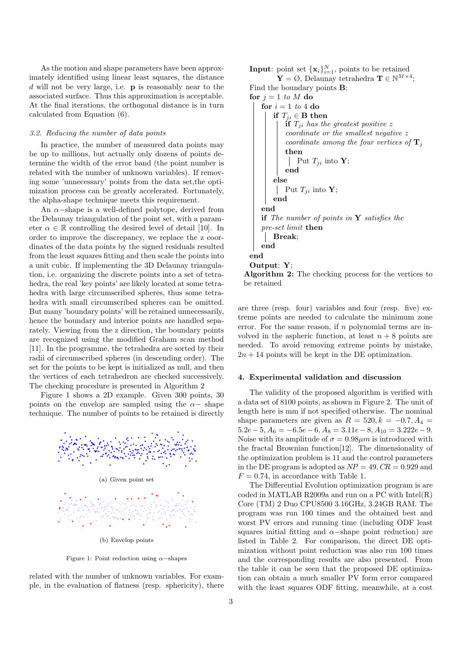As the motion and shape parameters have been approximately identified using linear least squares, the distance *d* will not be very large, i.e. **p** is reasonably near to the associated surface. Thus this approximation is acceptable. At the final iterations, the orthogonal distance is in turn calculated from Equation (6).

#### *3.2. Reducing the number of data points*

In practice, the number of measured data points may be up to millions, but actually only dozens of points determine the width of the error band (the point number is related with the number of unknown variables). If removing some 'unnecessary' points from the data set,the optimization process can be greatly accelerated. Fortunately, the alpha-shape technique meets this requirement.

An *α−*shape is a well-defined polytope, derived from the Delaunay triangulation of the point set, with a parameter  $\alpha \in \mathbb{R}$  controlling the desired level of detail [10]. In order to improve the discrepancy, we replace the z coordinates of the data points by the signed residuals resulted from the least squares fitting and then scale the points into a unit cubic. If implementing the 3D Delaunay triangulation, i.e. organizing the discrete points into a set of tetrahedra, the real 'key points' are likely located at some tetrahedra with large circumscribed spheres, thus some tetrahedra with small circumscribed spheres can be omitted. But many 'boundary points' will be retained unnecessarily, hence the boundary and interior points are handled separately. Viewing from the z direction, the boundary points are recognized using the modified Graham scan method [11]. In the programme, the tetrahedra are sorted by their radii of circumscribed spheres (in descending order). The set for the points to be kept is initialized as null, and then the vertices of each tetrahedron are checked successively. The checking procedure is presented in Algorithm 2

Figure 1 shows a 2D example. Given 300 points, 30 points on the envelop are sampled using the  $\alpha$ - shape technique. The number of points to be retained is directly



Figure 1: Point reduction using *α−*shapes

related with the number of unknown variables. For example, in the evaluation of flatness (resp. sphericity), there **Input**: point set  $\{x_i\}_{i=1}^N$ , points to be retained

 $\mathbf{Y} = \emptyset$ , Delaunay tetrahedra  $\mathbf{T} \in \mathbb{N}^{M \times 4}$ ; Find the boundary points **B**; **for**  $j = 1$  *to*  $M$  **do for**  $i = 1$  *to* 4 **do if**  $T_{ii} \in \mathbf{B}$  then **if**  $T_{ji}$  has the greatest positive  $z$ *coordinate or the smallest negative z coordinate among the four vertices of* **T***<sup>j</sup>* **then Put**  $T_{ji}$  into **Y**; **end else Put**  $T_{ji}$  into **Y**; **end end if** *The number of points in* **Y** *satisfies the pre-set limit* **then Break**; **end end Output**: **Y**;

**Algorithm 2:** The checking process for the vertices to be retained

are three (resp. four) variables and four (resp. five) extreme points are needed to calculate the minimum zone error. For the same reason, if *n* polynomial terms are involved in the aspheric function, at least  $n + 8$  points are needed. To avoid removing extreme points by mistake,  $2n + 14$  points will be kept in the DE optimization.

## **4. Experimental validation and discussion**

The validity of the proposed algorithm is verified with a data set of 8100 points, as shown in Figure 2. The unit of length here is mm if not specified otherwise. The nominal shape parameters are given as  $R = 520, k = -0.7, A_4 =$  $5.2e - 5$ ,  $A_6 = -6.5e - 6$ ,  $A_8 = 3.11e - 8$ ,  $A_{10} = 3.222e - 9$ . Noise with its amplitude of  $\sigma = 0.98 \mu m$  is introduced with the fractal Brownian function[12]. The dimensionality of the optimization problem is 11 and the control parameters in the DE program is adopted as  $NP = 49$ ,  $CR = 0.929$  and  $F = 0.74$ , in accordance with Table 1.

The Differential Evolution optimization program is are coded in MATLAB R2009a and run on a PC with Intel(R) Core (TM) 2 Duo CPU8500 3.16GHz, 3.24GB RAM. The program was run 100 times and the obtained best and worst PV errors and running time (including ODF least squares initial fitting and *α−*shape point reduction) are listed in Table 2. For comparison, the direct DE optimization without point reduction was also run 100 times and the corresponding results are also presented. From the table it can be seen that the proposed DE optimization can obtain a much smaller PV form error compared with the least squares ODF fitting, meanwhile, at a cost